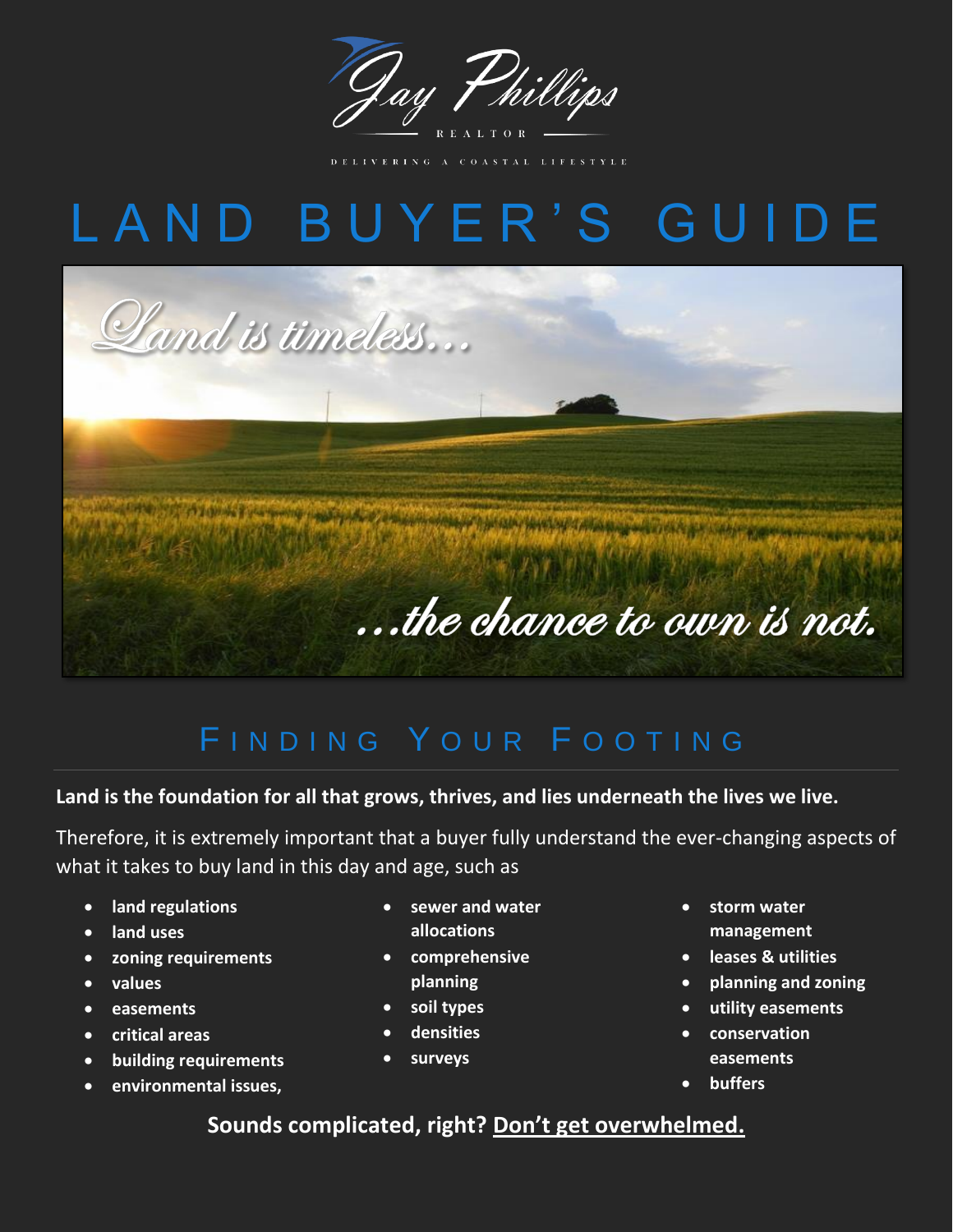

TAL LIFESTYLE

# L A N D B U Y E R ' S G U I D E



### FINDING YOUR FOOTING

#### **Land is the foundation for all that grows, thrives, and lies underneath the lives we live.**

Therefore, it is extremely important that a buyer fully understand the ever-changing aspects of what it takes to buy land in this day and age, such as

- **land regulations**
- **land uses**
- **zoning requirements**
- **values**
- **easements**
- **critical areas**
- **building requirements**
- **environmental issues,**
- **sewer and water allocations**
- **comprehensive planning**
- **soil types**
- **densities**
- **surveys**
- **storm water management**
- **leases & utilities**
- **planning and zoning**
- **utility easements**
- **conservation easements**
- **buffers**

### **Sounds complicated, right? Don't get overwhelmed.**